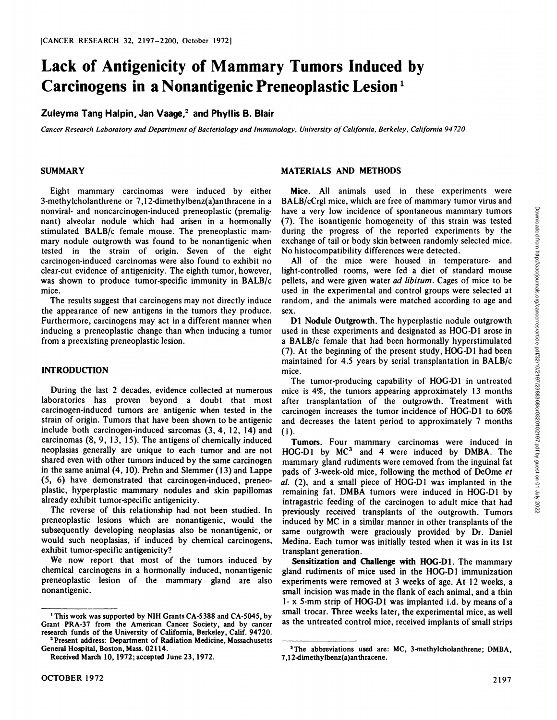# **Lack of Antigenicity of Mammary Tumors Induced by Carcinogens** in a Nonantigenic Preneoplastic Lesion<sup>1</sup>

**Zuleyma Tang Halpin, Jan Vaage, and Phyllis B. Blair**

Cancer Research Laboratory and Department of Bacteriology and Immunology, University of California, Berkeley, California 94720

## **SUMMARY**

Eight mammary carcinomas were induced by either 3-methylcholanthrene or 7,12-dimethylbenz(a)anthracene in a nonviral- and noncarcinogen-induced preneoplastic (premalignant) alveolar nodule which had arisen in a hormonally stimulated BALB/c female mouse. The preneoplastic mam mary nodule outgrowth was found to be nonantigenic when tested in the strain of origin. Seven of the eight carcinogen-induced carcinomas were also found to exhibit no clear-cut evidence of antigenicity. The eighth tumor, however, was shown to produce tumor-specific immunity in BALB/c mice.

The results suggest that carcinogens may not directly induce the appearance of new antigens in the tumors they produce. Furthermore, carcinogens may act in a different manner when inducing a preneoplastic change than when inducing a tumor from a preexisting preneoplastic lesion.

## **INTRODUCTION**

During the last 2 decades, evidence collected at numerous laboratories has proven beyond a doubt that most carcinogen-induced tumors are antigenic when tested in the strain of origin. Tumors that have been shown to be antigenic include both carcinogen-induced sarcomas (3,4, 12, 14) and carcinomas (8, 9, 13, 15). The antigens of chemically induced neoplasias generally are unique to each tumor and are not shared even with other tumors induced by the same carcinogen in the same animal (4, 10). Prehn and Slemmer (13) and Lappe (5, 6) have demonstrated that carcinogen-induced, preneo plastic, hyperplastic mammary nodules and skin papillomas already exhibit tumor-specific antigenicity.

The reverse of this relationship had not been studied. In preneoplastic lesions which are nonantigenic, would the subsequently developing neoplasias also be nonantigenic, or would such neoplasias. if induced by chemical carcinogens, exhibit tumor-specific antigenicity?

We now report that most of the tumors induced by chemical carcinogens in a hormonally induced, nonantigenic preneoplastic lesion of the mammary gland are also nonantigenic.

'Present address: Department of Radiation Medicine, Massachusetts General Hospital, Boston, Mass. 02114.

### **MATERIALS AND METHODS**

Mice. All animals used in these experiments were have a very low incidence of spontaneous mammary tumors (7). The isoantigenic homogeneity of this strain was tested during the progress of the reported experiments by the exchange of tail or body skin between randomly selected mice. No histocompatibility differences were detected.

All of the mice were housed in temperature- and light-controlled rooms, were fed a diet of standard mouse pellets, and were given water ad libitum. Cages of mice to be used in the experimental and control groups were selected at random, and the animals were matched according to age and

D1 Nodule Outgrowth. The hyperplastic nodule outgrowth used in these experiments and designated as HOC-DI arose in a BALB/c female that had been hormonally hyperstimulated (7). At the beginning of the present study, HOG-D1 had been maintained for 4.5 years by serial transplantation in BALB/c mice.

The tumor-producing capability of HOG-D1 in untreated mice is 4%, the tumors appearing approximately 13 months after transplantation of the outgrowth. Treatment with carcinogen increases the tumor incidence of HOG-D1 to 60% and decreases the latent period to approximately 7 months (1).

BALB/cCrgl mice, which are free of mammary tumor virus and<br>
have a very low incidence of spontaneous mammary tumors<br>
the isomatigenic homogeneity of this strain was tested<br>
during the progress of the reported experiments Tumors. Four mammary carcinomas were induced in HOG-D1 by MC<sup>3</sup> and 4 were induced by DMBA. The mammary gland rudiments were removed from the inguinal fat pads of 3-week-old mice, following the method of DeOme et *al. (2), and a small piece of HOG-D1 was implanted in the* remaining fat. DMBA tumors were induced in HOG-D1 by intragastric feeding of the carcinogen to adult mice that had previously received transplants of the outgrowth. Tumors induced by MC in a similar manner in other transplants of the same outgrowth were graciously provided by Dr. Daniel Medina. Each tumor was initially tested when it was in its 1st transplant generation.

Sensitization and Challenge with HOC-DI. The mammary gland rudiments of mice used in the HOG-D1 immunization experiments were removed at 3 weeks of age. At 12 weeks, a small incision was made in the flank of each animal, and a thin 1- x 5-mm strip of HOG-D1 was implanted i.d. by means of a small trocar. Three weeks later, the experimental mice, as well as the untreated control mice, received implants of small strips

<sup>1</sup>This work was supported by NIH Grants CA-5388 and CA-5045, by Grant PRA-37 from the American Cancer Society, and by cancer research funds of the University of California, Berkeley, Calif. 94720.

Received March 10, 1972; accepted June 23, 1972.

<sup>&</sup>lt;sup>3</sup>The abbreviations used are: MC, 3-methylcholanthrene; DMBA, 7,12-dimethylbenz(a)anthracene.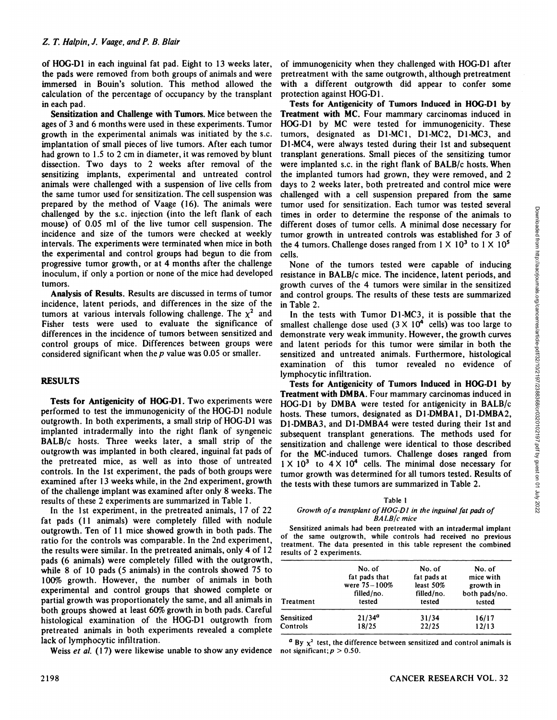of HOC-DI in each inguinal fat pad. Eight to 13 weeks later, the pads were removed from both groups of animals and were immersed in Bouin's solution. This method allowed the calculation of the percentage of occupancy by the transplant in each pad.

Sensitization and Challenge with Tumors. Mice between the ages of 3 and 6 months were used in these experiments. Tumor growth in the experimental animals was initiated by the s.c. implantation of small pieces of live tumors. After each tumor had grown to 1.5 to 2 cm in diameter, it was removed by blunt dissection. Two days to 2 weeks after removal of the sensitizing implants, experimental and untreated control animals were challenged with a suspension of live cells from the same tumor used for sensitization. The cell suspension was prepared by the method of Vaage (16). The animals were challenged by the s.c. injection (into the left flank of each mouse) of 0.05 ml of the live tumor cell suspension. The incidence and size of the tumors were checked at weekly intervals. The experiments were terminated when mice in both the experimental and control groups had begun to die from progressive tumor growth, or at 4 months after the challenge inoculum, if only a portion or none of the mice had developed tumors.

Analysis of Results. Results are discussed in terms of tumor incidence, latent periods, and differences in the size of the tumors at various intervals following challenge. The  $\chi^2$  and Fisher tests were used to evaluate the significance of differences in the incidence of tumors between sensitized and control groups of mice. Differences between groups were considered significant when the  $p$  value was 0.05 or smaller.

# **RESULTS**

Tests for Antigenicity of HOC-DI. Two experiments were performed to test the immunogenicity of theHOG-Dl nodule outgrowth. In both experiments, a small strip of HOG-D1 was implanted intradermally into the right flank of syngeneic BALB/c hosts. Three weeks later, a small strip of the outgrowth was implanted in both cleared, inguinal fat pads of the pretreated mice, as well as into those of untreated controls. In the 1st experiment, the pads of both groups were examined after 13 weeks while, in the 2nd experiment, growth of the challenge implant was examined after only 8 weeks. The results of these 2 experiments are summarized in Table 1.

In the 1st experiment, in the pretreated animals, 17 of 22 fat pads (11 animals) were completely filled with nodule outgrowth. Ten of 11 mice showed growth in both pads. The ratio for the controls was comparable. In the 2nd experiment, the results were similar. In the pretreated animals, only 4 of 12 pads (6 animals) were completely filled with the outgrowth, while 8 of 10 pads (5 animals) in the controls showed 75 to 100% growth. However, the number of animals in both experimental and control groups that showed complete or partial growth was proportionately the same, and all animals in both groups showed at least 60% growth in both pads. Careful histological examination of the HOG-D1 outgrowth from pretreated animals in both experiments revealed a complete lack of lymphocytic infiltration.

Weiss *et al.* (17) were likewise unable to show any evidence not significant;  $p > 0.50$ .

of immunogenicity when they challenged with HOG-D1 after pretreatment with the same outgrowth, although pretreatment with a different outgrowth did appear to confer some protection against HOG-D1.

Tests for Antigenicity of Tumors Induced in HOC-DI by Treatment with MC. Four mammary carcinomas induced in HOG-D1 by MC were tested for immunogenicity. These tumors, designated as D1-MC1, D1-MC2, D1-MC3, and D1-MC4, were always tested during their 1st and subsequent transplant generations. Small pieces of the sensitizing tumor were implanted s.c. in the right flank of BALB/c hosts. When the implanted tumors had grown, they were removed, and 2 days to 2 weeks later, both pretreated and control mice were challenged with a cell suspension prepared from the same tumor used for sensitization. Each tumor was tested several different doses of tumor cells. A minimal dose necessary for tumor growth in untreated controls was established for 3 of the 4 tumors. Challenge doses ranged from  $1 \times 10^3$  to  $1 \times 10^5$ cells.

None of the tumors tested were capable of inducing resistance in BALB/c mice. The incidence, latent periods, and growth curves of the 4 tumors were similar in the sensitized and control groups. The results of these tests are summarized in Table 2.

In the tests with Tumor D1-MC3, it is possible that the smallest challenge dose used  $(3 \times 10^4 \text{ cells})$  was too large to demonstrate very weak immunity. However, the growth curves and latent periods for this tumor were similar in both the sensitized and untreated animals. Furthermore, histological examination of this tumor revealed no evidence of lymphocytic infiltration.

times in order to consumuation. Lead vantual dose necessary for the response of the animals to different doses of tunnor cells. A minimal dose necessary for tunnor growth in unterated controls was established for 3 of the Tests for Antigenicity of Tumors Induced in HOG-D1 by Treatment with DMBA. Four mammary carcinomas induced in HOG-D1 by DMBA were tested for antigenicity in BALB/c hosts. These tumors, designated as D1-DMBA1, D1-DMBA2, D1-DMBA3, and D1-DMBA4 were tested during their 1st and subsequent transplant generations. The methods used for sensitization and challenge were identical to those described for the MC-induced tumors. Challenge doses ranged from  $1 \times 10^3$  to  $4 \times 10^4$  cells. The minimal dose necessary for tumor growth was determined for all tumors tested. Results of the tests with these tumors are summarized in Table 2.

## Table 1

#### *Growth of a transplant ofHOG-DI in the inguinal fat pads of BALB /c mice*

Sensitized animals had been pretreated with an intradermal implant of the same outgrowth, while controls had received no previous treatment. The data presented in this table represent the combined results of 2 experiments.

| Treatment  | No. of<br>fat pads that<br>were $75 - 100\%$<br>filled/no.<br>tested | No. of<br>fat pads at<br>least $50\%$<br>filled/no.<br>tested | No. of<br>mice with<br>growth in<br>both pads/no.<br>tested |
|------------|----------------------------------------------------------------------|---------------------------------------------------------------|-------------------------------------------------------------|
| Sensitized | $21/34^a$                                                            | 31/34                                                         | 16/17                                                       |
| Controls   | 18/25                                                                | 22/25                                                         | 12/13                                                       |
|            |                                                                      |                                                               |                                                             |

*" By x2 'est, the difference between sensitized and control animals is*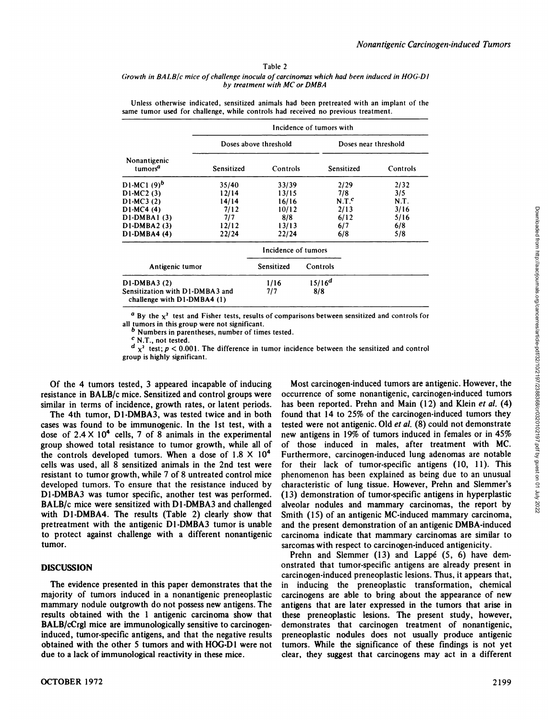#### Table 2

#### *Growth in BALB/c mice of challenge inocula of carcinomas which had been induced in HOG-DI by treatment with MC or DMBA*

|  | Unless otherwise indicated, sensitized animals had been pretreated with an implant of the |  |
|--|-------------------------------------------------------------------------------------------|--|
|  | same tumor used for challenge, while controls had received no previous treatment.         |  |

|                                                                 | Incidence of tumors with |                       |             |                      |  |  |
|-----------------------------------------------------------------|--------------------------|-----------------------|-------------|----------------------|--|--|
|                                                                 |                          | Doses above threshold |             | Doses near threshold |  |  |
| Nonantigenic<br>tumors <sup>a</sup>                             | Sensitized               | Controls              | Sensitized  | Controls             |  |  |
| D1-MC1 (9) <sup>b</sup>                                         | 35/40                    | 33/39                 | 2/29        | 2/32                 |  |  |
| D1-MC2(3)                                                       | 12/14                    | 13/15                 | 7/8         | 3/5                  |  |  |
| D1-MC3 (2)                                                      | 14/14                    | 16/16                 | $N.T.^c$    | N.T.                 |  |  |
| D1-MC4 (4)                                                      | 7/12                     | 10/12                 | 2/13        | 3/16                 |  |  |
| D1-DMBA1 (3)                                                    | 7/7                      | 8/8                   | 6/12        | 5/16                 |  |  |
| D1-DMBA2 (3)                                                    | 12/12                    | 13/13                 | 6/7         | 6/8                  |  |  |
| D1-DMBA4 (4)                                                    | 22/24                    | 22/24                 | 6/8         | 5/8                  |  |  |
|                                                                 |                          | Incidence of tumors   |             |                      |  |  |
| Antigenic tumor                                                 |                          | Sensitized            | Controls    |                      |  |  |
| D1-DMBA3 (2)                                                    |                          | 1/16                  | $15/16^{d}$ |                      |  |  |
| Sensitization with D1-DMBA3 and<br>challenge with $D1-DMBA4(1)$ |                          | 717                   | 8/8         |                      |  |  |

*°By the x! test and Fisher tests, results of comparisons between sensitized and controls for* all tumors in this group were not significant.<br>b Numbers in parentheses, number of times tested.

c N.T., not tested.

 $d_{\chi^2}$  test;  $p < 0.001$ . The difference in tumor incidence between the sensitized and control group is highly significant.

Of the 4 tumors tested, 3 appeared incapable of inducing resistance in BALB/c mice. Sensitized and control groups were similar in terms of incidence, growth rates, or latent periods.

The 4th tumor, D1-DMBA3, was tested twice and in both cases was found to be immunogenic. In the 1st test, with a dose of  $2.4 \times 10^4$  cells, 7 of 8 animals in the experimental group showed total resistance to tumor growth, while all of the controls developed tumors. When a dose of  $1.8 \times 10^4$ cells was used, all  $8$  sensitized animals in the 2nd test were resistant to tumor growth, while 7 of 8 untreated control mice developed tumors. To ensure that the resistance induced by characteristic of lung tissue. However, Prehn and Slemmer's D1-DMBA3 was tumor specific, another test was performed. BALB/c mice were sensitized with D1-DMBA3 and challenged with D1-DMBA4. The results (Table 2) clearly show that pretreatment with the antigenic D1-DMBA3 tumor is unable to protect against challenge with a different nonantigenic tumor.

## **DISCUSSION**

The evidence presented in this paper demonstrates that the majority of tumors induced in a nonantigenic preneoplastic mammary nodule outgrowth do not possess new antigens. The results obtained with the 1 antigenic carcinoma show that BALB/cCrgl mice are immunologically sensitive to carcinogeninduced, tumor-specific antigens, and that the negative results obtained with the other 5 tumors and with HOG-DI were not due to a lack of immunological reactivity in these mice.

**OCTOBER 1972** 2199

12<br>
8 6/12 7/113 19/16<br>
8 6/12 6/7 6/8 5/18<br>
13 6/7 6/8 5/18<br>
14 6/8 5/18<br>
16 6/8 5/18<br>
16 6/8 16 6/8 16<br>
16 6/8 5/18<br>
16 6/8 5/18<br>
16 6/8 5/18<br>
16 6/1 6<br>
16 6/1 6<br>
16 6/1 6<br>
16 7 6<br>
16 7 6<br>
16 7 6<br>
16 7 6<br>
16 8<br>
16 8<br>
16 occurrence of some nonantigenic, carcinogen-induced tumors has been reported. Prehn and Main (12) and Klein et al. (4) found that 14 to 25% of the carcinogen-induced tumors they tested were not antigenic. Old et al. (8) could not demonstrate new antigens in 19% of tumors induced in females or in 45% of those induced in males, after treatment with MC. Furthermore, carcinogen-induced lung adenomas are notable for their lack of tumor-specific antigens (10, 11). This phenomenon has been explained as being due to an unusual (13) demonstration of tumor-specific antigens in hyperplastic alveolar nodules and mammary carcinomas, the report by Smith (15) of an antigenic MC-induced mammary carcinoma, and the present demonstration of an antigenic DMBA-induced carcinoma indicate that mammary carcinomas are similar to sarcomas with respect to carcinogen-induced antigenicity.

Prehn and Slemmer (13) and Lappé (5, 6) have demonstrated that tumor-specific antigens are already present in carcinogen-induced preneoplastic lesions. Thus, it appears that, in inducing the preneoplastic transformation, chemical carcinogens are able to bring about the appearance of new antigens that are later expressed in the tumors that arise in these preneoplastic lesions. The present study, however, demonstrates that carcinogen treatment of nonantigenic, preneoplastic nodules does not usually produce antigenic tumors. While the significance of these findings is not yet clear, they suggest that carcinogens may act in a different